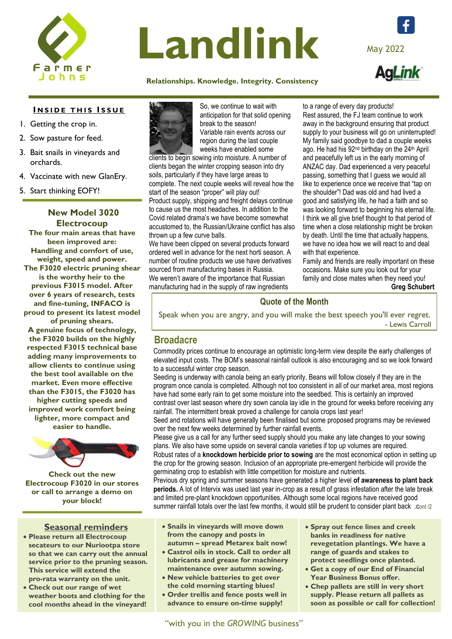

# Landlink

#### **[Relati](https://www.facebook.com/farmerjohnssa)onships. Knowledge. Integrity. Consistency**

#### **INSIDE THIS ISSUE**

- 1. Getting the crop in.
- 2. Sow pasture for feed.
- 3. Bait snails in vineyards and orchards.
- 4. Vaccinate with new GlanEry.
- 5. Start thinking EOFY!

**New Model 3020 Electrocoup The four main areas that have been improved are: Handling and comfort of use, weight, speed and power. The F3020 electric pruning shear is the worthy heir to the previous F3015 model. After over 6 years of research, tests and fine-tuning, INFACO is proud to present its latest model of pruning shears. A genuine focus of technology, the F3020 builds on the highly respected F3015 technical base adding many improvements to allow clients to continue using the best tool available on the market. Even more effective than the F3015, the F3020 has higher cutting speeds and improved work comfort being lighter, more compact and easier to handle.** 



**Check out the new Electrocoup F3020 in our stores or call to arrange a demo on your block!**

# **Seasonal reminders**

- **Please return all Electrocoup**  secateurs to our **Nuriootpa store so that we can carry out the annual**  so that we can carry out the annual<br>service prior to the pruning season. This service will extend the pro-rata warranty on the unit.
- **Check out our range of wet weather boots and clothing for the cool months ahead in the vineyard!**



So, we continue to wait with anticipation for that solid opening break to the season! Variable rain events across our region during the last couple weeks have enabled some

clients to begin sowing into moisture. A number of clients began the winter cropping season into dry soils, particularly if they have large areas to complete. The next couple weeks will reveal how the start of the season "proper" will play out! Product supply, shipping and freight delays continue to cause us the most headaches. In addition to the Covid related drama's we have become somewhat accustomed to, the Russian/Ukraine conflict has also

thrown up a few curve balls. We have been clipped on several products forward ordered well in advance for the next horti season. A number of routine products we use have derivatives sourced from manufacturing bases in Russia. We weren't aware of the importance that Russian manufacturing had in the supply of raw ingredients

to a range of every day products! Rest assured, the FJ team continue to work away in the background ensuring that product supply to your business will go on uninterrupted! My family said goodbye to dad a couple weeks ago. He had his 92<sup>nd</sup> birthday on the 24<sup>th</sup> April and peacefully left us in the early morning of ANZAC day. Dad experienced a very peaceful passing, something that I guess we would all like to experience once we receive that "tap on the shoulder"! Dad was old and had lived a good and satisfying life, he had a faith and so was looking forward to beginning his eternal life. I think we all give brief thought to that period of time when a close relationship might be broken by death. Until the time that actually happens, we have no idea how we will react to and deal with that experience.

Family and friends are really important on these occasions. Make sure you look out for your family and close mates when they need you! **Greg Schubert** 

# **Quote of the Month**

Speak when you are angry, and you will make the best speech you'll ever regret. - Lewis Carroll

# **Broadacre**

Commodity prices continue to encourage an optimistic long-term view despite the early challenges of elevated input costs. The BOM's seasonal rainfall outlook is also encouraging and so we look forward to a successful winter crop season.

Seeding is underway with canola being an early priority. Beans will follow closely if they are in the program once canola is completed. Although not too consistent in all of our market area, most regions have had some early rain to get some moisture into the seedbed. This is certainly an improved contrast over last season where dry sown canola lay idle in the ground for weeks before receiving any rainfall. The intermittent break proved a challenge for canola crops last year!

Seed and rotations will have generally been finalised but some proposed programs may be reviewed over the next few weeks determined by further rainfall events.

Please give us a call for any further seed supply should you make any late changes to your sowing plans. We also have some upside on several canola varieties if top up volumes are required. Robust rates of a **knockdown herbicide prior to sowing** are the most economical option in setting up the crop for the growing season. Inclusion of an appropriate pre-emergent herbicide will provide the germinating crop to establish with little competition for moisture and nutrients.

Previous dry spring and summer seasons have generated a higher level **of awareness to plant back periods.** A lot of Intervix was used last year in-crop as a result of grass infestation after the late break and limited pre-plant knockdown opportunities. Although some local regions have received good summer rainfall totals over the last few months, it would still be prudent to consider plant back .cont /2

- **Snails in vineyards will move down from the canopy and posts in autumn – spread Metarex bait now!**
- **Castrol oils in stock. Call to order all lubricants and grease for machinery maintenance over autumn sowing.**
- **New vehicle batteries to get over the cold morning starting blues!**
- **Order trellis and fence posts well in advance to ensure on-time supply!**

- **Spray out fence lines and creek banks in readiness for native revegetation plantings. We have a range of guards and stakes to protect seedlings once planted.**
- **Get a copy of our End of Financial Year Business Bonus offer.**
- **Chep pallets are still in very short supply. Please return all pallets as soon as possible or call for collection!**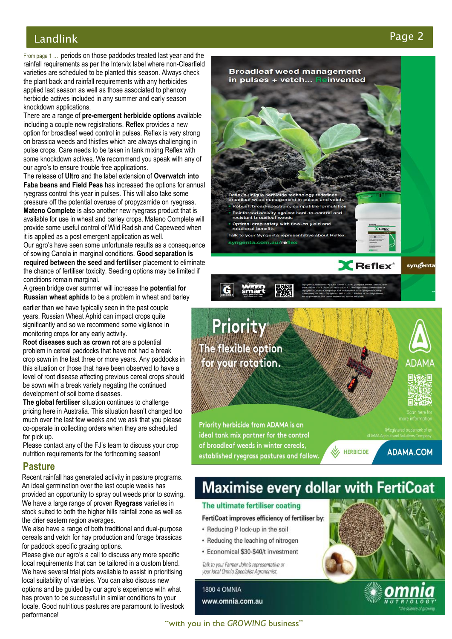# Landlink Pa

From page 1 … periods on those paddocks treated last year and the rainfall requirements as per the Intervix label where non -Clearfield varieties are scheduled to be planted this season. Always check the plant back and rainfall requirements with any herbicides applied last season as well as those associate d to phenoxy herbicide actives included in any summer and early season knockdown applications.

There are a range of **pre -emergent herbicide options** available including a couple new registrations. **Reflex** provides a new option for broadleaf weed control in pulses. Reflex is very strong on brassica weeds and thistles which are always challenging in pulse crops. Care needs to be taken in tank mixing Reflex with some knockdown actives. We recommend you speak with any of our agro's to ensure trouble free applications.

**rapa peans and rield reas** has increased the options for a<br>ryegrass control this year in pulses. This will also take some The release of **Ultro** and the label extension of **Overwatch into Faba beans and Field Peas** has increased the options for annual pressure off the potential overuse of propyzamide on ryegrass. Mateno Complete is also another new ryegrass product that is available for use in wheat and barley crops. Mateno Complete will provide some useful control of Wild Radish and Capeweed when it is applied as a post emergent application as well.

Our agro's have seen some unfortunate results as a consequence of sowing Canola in marginal conditions. **Good separation is required between the seed and fertiliser** placement to eliminate the chance of fertiliser toxicity. Seeding options may be limited if conditions remain marginal.

A green bridge over summer will increase the **potential for Russian wheat aphids** to be a problem in wheat and barley

earlier than we have typically seen in the past couple years. Russian Wheat Aphid can impact crops quite significantly and so we recommend some vigilance in monitoring crops for any early activity.

**Root diseases such as crown rot** are a potential problem in cereal paddocks that have not had a break crop sown in the last three or more years. Any paddocks in this situation or those that have been observed to have a level of root disease affecting previous cereal crops should be sown with a break variety negating the continued development of soil borne diseases.

**The global fertiliser** situation continues to challenge pricing here in Australia. This situation hasn't changed too much over the last few weeks and we ask that you please co -operate in collecting orders when they are scheduled for pick up.

Please contact any of the FJ's team to discuss your crop nutrition requirements for the forthcoming season!

# **Pasture**

Recent rainfall has generated activity in pasture programs. An ideal germination over the last couple weeks has provided an opportunity to spray ou t weeds prior to sowing. We have a large range of proven **Ryegrass** varieties in stock suited to both the higher hills rainfall zone as well as the drier eastern region averages.

We also have a range of both traditional and dual -purpose cereals and vetch for hay production and forage brassicas for paddock specific grazing options.

Please give our agro's a call to discuss any more specific local requir ements that can be tailored in a custom blend. We have several trial plots available to assist in prioritising local suitability of varieties. You can also discuss new options and be guided by our agro's experience with what has proven to be successful in similar conditions to your locale. Good nutritious pastures are paramount to livestock performance!



Talk to your Farmer John's representative or your local Omnia Specialist Agronomist.

**1800 4 OMNIA** www.omnia.com.au



ge 2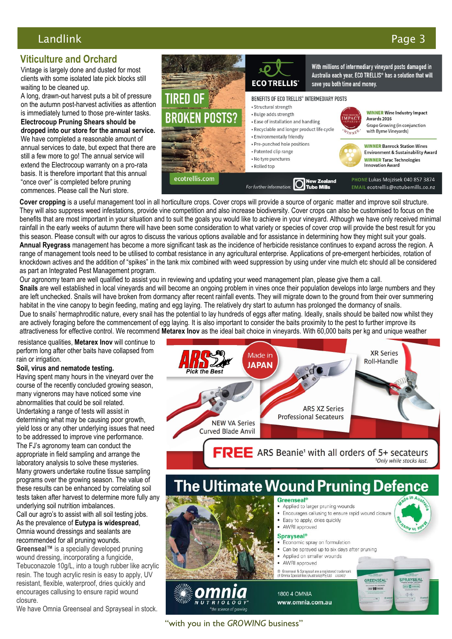# Landlink Page 3

# **Viticulture and Orchard**

Vintage is largely done and dusted for most clients with some isolated late pick blocks still waiting to be cleaned up.

A long, drawn-out harvest puts a bit of pressure on the autumn post-harvest activities as attention is immediately turned to those pre-winter tasks. **Electrocoup Pruning Shears should be dropped into our store for the annual service.**  We have completed a reasonable amount of annual services to date, but expect that there are still a few more to go! The annual service will extend the Electrocoup warranty on a pro-rata basis. It is therefore important that this annual "once over" is completed before pruning commences. Please call the Nuri store.



**Cover cropping** is a useful management tool in all horticulture crops. Cover crops will provide a source of organic matter and improve soil structure. They will also suppress weed infestations, provide vine competition and also increase biodiversity. Cover crops can also be customised to focus on the benefits that are most important in your situation and to suit the goals you would like to achieve in your vineyard. Although we have only received minimal rainfall in the early weeks of autumn there will have been some consideration to what variety or species of cover crop will provide the best result for you this season. Please consult with our agros to discuss the various options available and for assistance in determining how they might suit your goals. **Annual Ryegrass** management has become a more significant task as the incidence of herbicide resistance continues to expand across the region. A range of management tools need to be utilised to combat resistance in any agricultural enterprise. Applications of pre-emergent herbicides, rotation of knockdown actives and the addition of "spikes" in the tank mix combined with weed suppression by using under vine mulch etc should all be considered as part an Integrated Pest Management program.

Our agronomy team are well qualified to assist you in reviewing and updating your weed management plan, please give them a call. **Snails** are well established in local vineyards and will become an ongoing problem in vines once their population develops into large numbers and they are left unchecked. Snails will have broken from dormancy after recent rainfall events. They will migrate down to the ground from their over summering habitat in the vine canopy to begin feeding, mating and egg laying. The relatively dry start to autumn has prolonged the dormancy of snails. Due to snails' hermaphroditic nature, every snail has the potential to lay hundreds of eggs after mating. Ideally, snails should be baited now whilst they are actively foraging before the commencement of egg laying. It is also important to consider the baits proximity to the pest to further improve its attractiveness for effective control. We recommend **Metarex Inov** as the ideal bait choice in vineyards. With 60,000 baits per kg and unique weather

resistance qualities, **Metarex Inov** will continue to perform long after other baits have collapsed from rain or irrigation.

#### **Soil, virus and nematode testing.**

Having spent many hours in the vineyard over the course of the recently concluded growing season, many vignerons may have noticed some vine abnormalities that could be soil related. Undertaking a range of tests will assist in determining what may be causing poor growth, yield loss or any other underlying issues that need to be addressed to improve vine performance. The FJ's agronomy team can conduct the appropriate in field sampling and arrange the laboratory analysis to solve these mysteries. Many growers undertake routine tissue sampling programs over the growing season. The value of these results can be enhanced by correlating soil tests taken after harvest to determine more fully any underlying soil nutrition imbalances. Call our agro's to assist with all soil testing jobs. As the prevalence of **Eutypa is widespread**,

Omnia wound dressings and sealants are recommended for all pruning wounds. **Greenseal™** is a specially developed pruning wound dressing, incorporating a fungicide, Tebuconazole 10g/L, into a tough rubber like acrylic resin. The tough acrylic resin is easy to apply, UV resistant, flexible, waterproof, dries quickly and encourages callusing to ensure rapid wound closure.

We have Omnia Greenseal and Sprayseal in stock.



The Ultimate Wound Pruning Defence